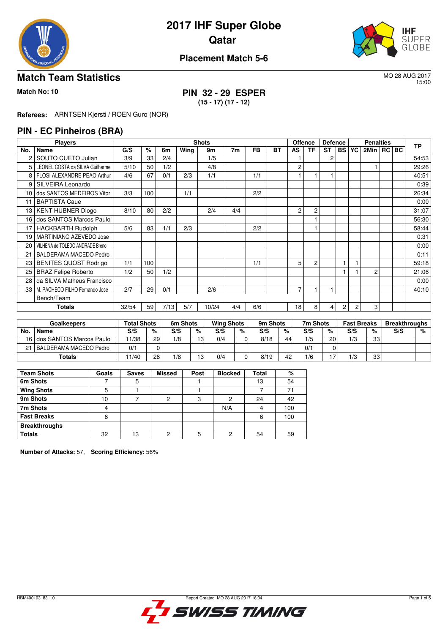

# **2017 IHF Super Globe Qatar**



### **Placement Match 5-6**

### **Match Team Statistics** MO 28 AUG 2017

15:00

**Match No: 10 PIN 32 - 29 ESPER (15 - 17) (17 - 12)**

**Referees:** ARNTSEN Kjersti / ROEN Guro (NOR)

### **PIN - EC Pinheiros (BRA)**

|                 | <b>Players</b>                  |      |     |      |      | <b>Shots</b> |                |     |           |                | <b>Offence</b> | <b>Defence</b> |                |    | <b>Penalties</b> |       | <b>TP</b> |
|-----------------|---------------------------------|------|-----|------|------|--------------|----------------|-----|-----------|----------------|----------------|----------------|----------------|----|------------------|-------|-----------|
| No.             | Name                            | G/S  | %   | 6m   | Wing | 9m           | 7 <sub>m</sub> | FB  | <b>BT</b> | <b>AS</b>      | <b>TF</b>      | <b>ST</b>      | <b>BS</b>      | YC | 2Min             | RC BC |           |
|                 | SOUTO CUETO Julian              | 3/9  | 33  | 2/4  |      | 1/5          |                |     |           |                |                | 2              |                |    |                  |       | 54:53     |
| 5               | LEONEL COSTA da SILVA Guilherme | 5/10 | 50  | 1/2  |      | 4/8          |                |     |           | $\overline{c}$ |                |                |                |    |                  |       | 29:26     |
| 8               | FLOSI ALEXANDRE PEAO Arthur     | 4/6  | 67  | 0/1  | 2/3  | 1/1          |                | 1/1 |           |                |                |                |                |    |                  |       | 40:51     |
| 9               | SILVEIRA Leonardo               |      |     |      |      |              |                |     |           |                |                |                |                |    |                  |       | 0:39      |
| 10 <sup>1</sup> | dos SANTOS MEDEIROS Vitor       | 3/3  | 100 |      | 1/1  |              |                | 2/2 |           |                |                |                |                |    |                  |       | 26:34     |
| 11              | <b>BAPTISTA Caue</b>            |      |     |      |      |              |                |     |           |                |                |                |                |    |                  |       | 0:00      |
| 13              | <b>KENT HUBNER Diogo</b>        | 8/10 | 80  | 2/2  |      | 2/4          | 4/4            |     |           | $\overline{c}$ | 2              |                |                |    |                  |       | 31:07     |
| 16              | dos SANTOS Marcos Paulo         |      |     |      |      |              |                |     |           |                |                |                |                |    |                  |       | 56:30     |
| 17              | <b>HACKBARTH Rudolph</b>        | 5/6  | 83  | 1/1  | 2/3  |              |                | 2/2 |           |                |                |                |                |    |                  |       | 58:44     |
| 19              | MARTINIANO AZEVEDO Jose         |      |     |      |      |              |                |     |           |                |                |                |                |    |                  |       | 0:31      |
| 20              | VILHENA de TOLEDO ANDRADE Breno |      |     |      |      |              |                |     |           |                |                |                |                |    |                  |       | 0:00      |
| 21              | BALDERAMA MACEDO Pedro          |      |     |      |      |              |                |     |           |                |                |                |                |    |                  |       | 0:11      |
| 23              | <b>BENITES QUOST Rodrigo</b>    | 1/1  | 100 |      |      |              |                | 1/1 |           | 5              | $\overline{c}$ |                |                |    |                  |       | 59:18     |
| 25              | <b>BRAZ Felipe Roberto</b>      | 1/2  | 50  | 1/2  |      |              |                |     |           |                |                |                |                |    | 2                |       | 21:06     |
| 28              | da SILVA Matheus Francisco      |      |     |      |      |              |                |     |           |                |                |                |                |    |                  |       | 0:00      |
| 33              | M. PACHECO FILHO Fernando Jose  | 2/7  | 29  | 0/1  |      | 2/6          |                |     |           | 7              |                | 1              |                |    |                  |       | 40:10     |
|                 | Bench/Team                      |      |     |      |      |              |                |     |           |                |                |                |                |    |                  |       |           |
|                 | Totals                          |      | 59  | 7/13 | 5/7  | 10/24        | 4/4            | 6/6 |           | 18             | 8              | 4              | $\overline{c}$ | 2  | 3                |       |           |

|        | Goalkeepers                | <b>Total Shots</b> |    | 6m Shots |    | <b>Wing Shots</b> |      | 9m Shots |    | 7m Shots |    | <b>Fast Breaks</b> |    | <b>Breakthroughs</b> |   |
|--------|----------------------------|--------------------|----|----------|----|-------------------|------|----------|----|----------|----|--------------------|----|----------------------|---|
| No.    | <b>Name</b>                | S/S                | %  | S/S      | %  | S/S               | $\%$ | S/S      | %  | S/S      | %  | S/S                | %  | S/S                  | % |
|        | 16 dos SANTOS Marcos Paulo | 11/38              | 29 | 1/8      | 13 | 0/4               |      | 8/18     | 44 | 1/5      | 20 | 1/3                | 33 |                      |   |
| 21     | I BALDERAMA MACEDO Pedro   | 0/1                |    |          |    |                   |      |          |    | 0/1      |    |                    |    |                      |   |
| Totals |                            | 11/40              | 28 | 1/8      | 13 | 0/4               |      | 8/19     | 42 | 1/6      |    | 1/3                | 33 |                      |   |

| <b>Team Shots</b>    | Goals | <b>Saves</b> | <b>Missed</b> | Post | <b>Blocked</b> | Total | %   |
|----------------------|-------|--------------|---------------|------|----------------|-------|-----|
| 6m Shots             |       |              |               |      |                | 13    | 54  |
| <b>Wing Shots</b>    |       |              |               |      |                |       | 71  |
| 9m Shots             | 10    |              |               | 3    | 2              | 24    | 42  |
| 7m Shots             | 4     |              |               |      | N/A            | 4     | 100 |
| <b>Fast Breaks</b>   | 6     |              |               |      |                | 6     | 100 |
| <b>Breakthroughs</b> |       |              |               |      |                |       |     |
| <b>Totals</b>        | 32    | 13           | ∩             |      | 2              | 54    | 59  |

**Number of Attacks:** 57, **Scoring Efficiency:** 56%

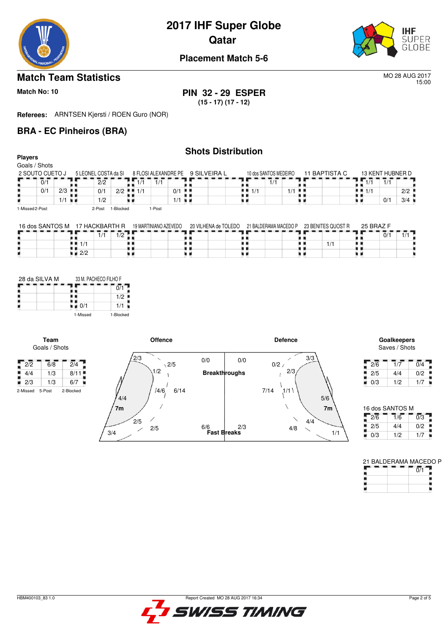

## **2017 IHF Super Globe Qatar**



### **Placement Match 5-6**

### **Match Team Statistics** MO 28 AUG 2017

15:00

**Match No: 10 PIN 32 - 29 ESPER (15 - 17) (17 - 12)**

**Referees:** ARNTSEN Kjersti / ROEN Guro (NOR)

### **BRA - EC Pinheiros (BRA)**

### **Shots Distribution Players** Goals / Shots 11 BAPTISTA C 13 KENT HUBNER D  $\frac{10 \text{ dos SANTOS MEDEIRO}}{10 \text{ kg } \cdot \frac{1000 \text{ m}}{10 \text{ kg } \cdot \frac{1000 \text{ m}}{10 \text{ kg } \cdot \frac{1000 \text{ m}}{10 \text{ kg } \cdot \frac{1000 \text{ m}}{10 \text{ kg } \cdot \frac{1000 \text{ m}}{10 \text{ kg } \cdot \frac{1000 \text{ m}}{10 \text{ kg } \cdot \frac{1000 \text{ m}}{10 \text{ kg } \cdot \frac{1000 \text{ m}}{10 \text{ kg } \cdot \frac{1000 \text{ m}}{10 \text{$ 2 SOUTO CUETO J 5 LEONEL COSTA da SI 8 FLOSI ALEXANDRE PE  $\overline{2}/\overline{2}$  $7/1$  $0/1$  $1/1$  1/1 1/1 1/1  $1/1$  1/1  $\begin{array}{|c|c|c|}\n\hline\n0/1 & 2/3 \\
\hline\n\end{array}$  $\frac{1}{1/1}$ 0/1 2/2 ‼ 1/1 0/1  $1/1$  2/2 8 B  $1/1$ 1/2  $0/1$  3/4 H u p ú t, 1-Missed 2-Post 2-Post 1-Blocked 1-Post 25 BRAZ F 16 dos SANTOS M 17 HACKBARTH R 19 MARTINIANO AZEVEDO 20 VILHENA de TOLEDO 21 BALDERAMA MACEDO P 23 BENITES QUOST R  $\frac{1}{1/1}$  1/2 ٦  $0/1$   $1/1$ ł, ł, 8 ò,  $1/1$ 1/1

t i

Ħ

| 28 da SILVA M | 33 M. PACHECO FILHO F |           |
|---------------|-----------------------|-----------|
|               |                       |           |
|               |                       | 1/2       |
|               | 0/1                   | 1/1       |
|               | 1-Missed              | 1-Blocked |

**Team**

ш

2/2

U



# Saves / Shots

Ħ

a a н

| 2/6 | 1/7 | 0/4 |
|-----|-----|-----|
| 2/5 | 4/4 | 0/2 |
| 0/3 | 1/2 | 1/7 |

| 16 dos SANTOS M |     |     |
|-----------------|-----|-----|
| 2/6             | 1/6 | 0/3 |
| 2/5             | 4/4 | 0/2 |
| 0/3             | 1/2 | 1/7 |

21 BALDERAMA MACEDO P

|  |  | 0/1 |  |
|--|--|-----|--|
|  |  |     |  |
|  |  |     |  |
|  |  |     |  |

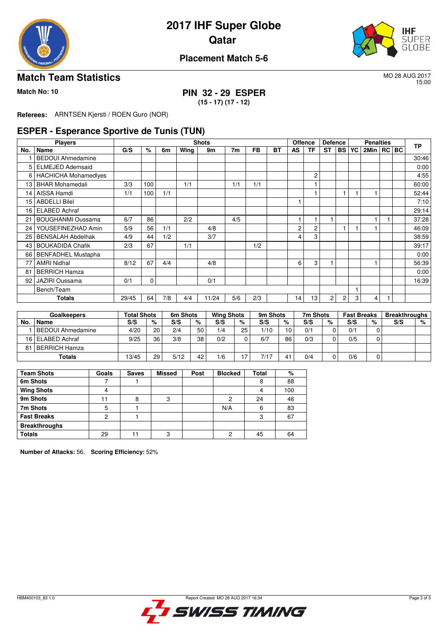

# **2017 IHF Super Globe Qatar**



### **Placement Match 5-6**

### **Match Team Statistics** MO 28 AUG 2017

15:00

**Match No: 10 PIN 32 - 29 ESPER**

**(15 - 17) (17 - 12)**

**Referees:** ARNTSEN Kjersti / ROEN Guro (NOR)

### **ESPER - Esperance Sportive de Tunis (TUN)**

|     | <b>Players</b>              |       |      |     |      | <b>Shots</b> |     |           |    | <b>Offence</b> |                | <b>Defence</b> |                |   | <b>Penalties</b> | <b>TP</b> |       |
|-----|-----------------------------|-------|------|-----|------|--------------|-----|-----------|----|----------------|----------------|----------------|----------------|---|------------------|-----------|-------|
| No. | Name                        | G/S   | $\%$ | 6m  | Wing | 9m           | 7m  | <b>FB</b> | ВT | <b>AS</b>      | <b>TF</b>      | <b>ST</b>      | <b>BS YC</b>   |   | 2Min   RC   BC   |           |       |
|     | <b>BEDOUI Ahmedamine</b>    |       |      |     |      |              |     |           |    |                |                |                |                |   |                  |           | 30:46 |
| 5.  | <b>ELMEJED Ademsaid</b>     |       |      |     |      |              |     |           |    |                |                |                |                |   |                  |           | 0:00  |
| 6   | <b>HACHICHA Mohamedives</b> |       |      |     |      |              |     |           |    |                | $\overline{c}$ |                |                |   |                  |           | 4:55  |
| 13  | <b>BHAR Mohamedali</b>      | 3/3   | 100  |     | 1/1  |              | 1/1 | 1/1       |    |                |                |                |                |   |                  |           | 60:00 |
| 14  | AISSA Hamdi                 | 1/1   | 100  | 1/1 |      |              |     |           |    |                |                |                |                |   |                  |           | 52:44 |
| 15  | <b>ABDELLI Bilel</b>        |       |      |     |      |              |     |           |    |                |                |                |                |   |                  |           | 7:10  |
| 16  | <b>ELABED Achraf</b>        |       |      |     |      |              |     |           |    |                |                |                |                |   |                  |           | 29:14 |
| 21  | <b>BOUGHANMI Oussama</b>    | 6/7   | 86   |     | 2/2  |              | 4/5 |           |    |                |                |                |                |   |                  |           | 37:28 |
| 24  | YOUSEFINEZHAD Amin          | 5/9   | 56   | 1/1 |      | 4/8          |     |           |    | $\overline{c}$ | $\overline{c}$ |                |                |   |                  |           | 46:09 |
| 25  | <b>BENSALAH Abdelhak</b>    | 4/9   | 44   | 1/2 |      | 3/7          |     |           |    | 4              | 3              |                |                |   |                  |           | 38:59 |
| 43  | <b>BOUKADIDA Chafik</b>     | 2/3   | 67   |     | 1/1  |              |     | 1/2       |    |                |                |                |                |   |                  |           | 39:17 |
| 66  | <b>BENFADHEL Mustapha</b>   |       |      |     |      |              |     |           |    |                |                |                |                |   |                  |           | 0:00  |
| 77  | <b>AMRI Nidhal</b>          | 8/12  | 67   | 4/4 |      | 4/8          |     |           |    | 6              | 3              |                |                |   |                  |           | 56:39 |
| 81  | <b>BERRICH Hamza</b>        |       |      |     |      |              |     |           |    |                |                |                |                |   |                  |           | 0:00  |
| 92  | <b>JAZIRI Oussama</b>       | 0/1   | 0    |     |      | 0/1          |     |           |    |                |                |                |                |   |                  |           | 16:39 |
|     | Bench/Team                  |       |      |     |      |              |     |           |    |                |                |                |                |   |                  |           |       |
|     | Totals                      | 29/45 | 64   | 7/8 | 4/4  | 11/24        | 5/6 | 2/3       |    | 14             | 13             | $\overline{2}$ | $\overline{c}$ | 3 | 4                |           |       |

|     | Goalkeepers              | <b>Total Shots</b> |    | 6m Shots |    | <b>Wing Shots</b> |    | 9m Shots |    | 7m Shots |   | <b>Fast Breaks</b> |   | <b>Breakthroughs</b> |   |
|-----|--------------------------|--------------------|----|----------|----|-------------------|----|----------|----|----------|---|--------------------|---|----------------------|---|
| No. | <b>Name</b>              | S/S                | %  | S/S      | %  | S/S               | %  | S/S      | %  | S/S      | % | S/S                | % | S/S                  | % |
|     | <b>BEDOUI Ahmedamine</b> | 4/20               | 20 | 2/4      | 50 | 1/4               | 25 | 1/10     | 10 | 0/1      |   | 0/1                | 0 |                      |   |
|     | 16 ELABED Achraf         | 9/25               | 36 | 3/8      | 38 | 0/2               |    | 6/7      | 86 | 0/3      |   | 0/5                |   |                      |   |
| 81  | <b>BERRICH Hamza</b>     |                    |    |          |    |                   |    |          |    |          |   |                    |   |                      |   |
|     | Totals                   |                    | 29 | 5/12     | 42 | 1/6               | រ  |          |    | 0/4      |   | 0/6                |   |                      |   |

| <b>Team Shots</b>    | Goals | <b>Saves</b> | <b>Missed</b> | Post | <b>Blocked</b> | Total | %   |
|----------------------|-------|--------------|---------------|------|----------------|-------|-----|
| 6m Shots             |       |              |               |      |                | 8     | 88  |
| <b>Wing Shots</b>    | 4     |              |               |      |                | 4     | 100 |
| 9m Shots             |       | 8            | 3             |      | 2              | 24    | 46  |
| 7m Shots             | 5     |              |               |      | N/A            | 6     | 83  |
| <b>Fast Breaks</b>   | 2     |              |               |      |                | 3     | 67  |
| <b>Breakthroughs</b> |       |              |               |      |                |       |     |
| <b>Totals</b>        | 29    |              | 3             |      | っ              | 45    | 64  |

**Number of Attacks:** 56, **Scoring Efficiency:** 52%

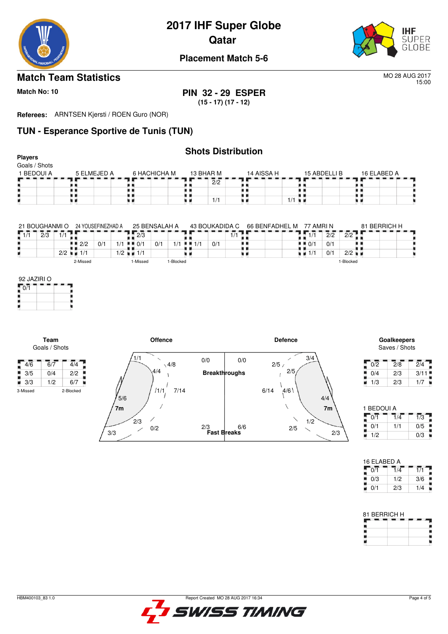

**2017 IHF Super Globe**

**Qatar** 



**Placement Match 5-6**

### **Match Team Statistics** MO 28 AUG 2017

15:00

**Match No: 10 PIN 32 - 29 ESPER (15 - 17) (17 - 12)**

**Referees:** ARNTSEN Kjersti / ROEN Guro (NOR)

## **TUN - Esperance Sportive de Tunis (TUN)**

| <b>Shots Distribution</b><br><b>Players</b><br>Goals / Shots |             |              |           |            |                      |             |  |  |  |  |  |  |  |  |
|--------------------------------------------------------------|-------------|--------------|-----------|------------|----------------------|-------------|--|--|--|--|--|--|--|--|
| 1 BEDOUI A                                                   | 5 ELMEJED A | 6 HACHICHA M | 13 BHAR M | 14 AISSA H | 15 ABDELLI B         | 16 ELABED A |  |  |  |  |  |  |  |  |
|                                                              |             |              | 2/2       |            |                      |             |  |  |  |  |  |  |  |  |
|                                                              |             |              |           |            |                      |             |  |  |  |  |  |  |  |  |
|                                                              |             |              | 1/1       |            | $1/1$ $\blacksquare$ |             |  |  |  |  |  |  |  |  |
|                                                              |             |              |           |            |                      |             |  |  |  |  |  |  |  |  |

|     | 21 BOUGHANMI O |              |          | 24 YOUSEFINEZHAD A | 25 BENSALAH A |                                   |          |     | 43 BOUKADIDA C |  | 66 BENFADHEL M |     | 77 AMRI N |  |     | 81 BERRICH H   |             |                      |  |  |
|-----|----------------|--------------|----------|--------------------|---------------|-----------------------------------|----------|-----|----------------|--|----------------|-----|-----------|--|-----|----------------|-------------|----------------------|--|--|
| 1/1 | 2/3            | $\mathbf{L}$ |          |                    |               |                                   | 2/3      |     |                |  |                |     |           |  |     | $\overline{4}$ | 2/2         | 2/2                  |  |  |
|     |                |              | 2/2      | 0/1                | /1            | $\blacksquare$ $\blacksquare$ 0/1 |          | 0/1 | /1             |  | 41/1           | 0/1 |           |  | . . | 0/1            | 0/1         |                      |  |  |
|     |                | 2/2          | 1/1      |                    |               | 1/2 ∎ ∎ 1/1                       |          |     |                |  |                |     |           |  |     | ∎∎ 1/*         | $\Omega$ /1 | $2/2$ $\blacksquare$ |  |  |
|     |                |              | 2-Missed |                    |               |                                   | I-Missed |     | -Blocked       |  |                |     |           |  |     |                |             | 1-Blocked            |  |  |

| 92 JAZIRI O |  |
|-------------|--|
| 0/1         |  |
|             |  |
|             |  |
|             |  |

**Team** Goals / Shots

į



Saves / Shots

| 0/2 | 2/8 | 2/4  |
|-----|-----|------|
| 0/4 | 2/3 | 3/11 |
| 1/3 | 2/3 | 1/7  |

| 1 BEDOUI A |     |     |
|------------|-----|-----|
| 0/1        | 1/4 | 1/3 |
| 0/1        | 1/1 | 0/5 |
| 1/2        |     | 0/3 |

| 16 ELABED A |     |     |
|-------------|-----|-----|
| 0/1         | 1/4 | 1/1 |
| 0/3         | 1/2 | 3/6 |
| 0/1         | 2/3 | 1/4 |

| 81 BERRICH H |  |
|--------------|--|
|              |  |
|              |  |